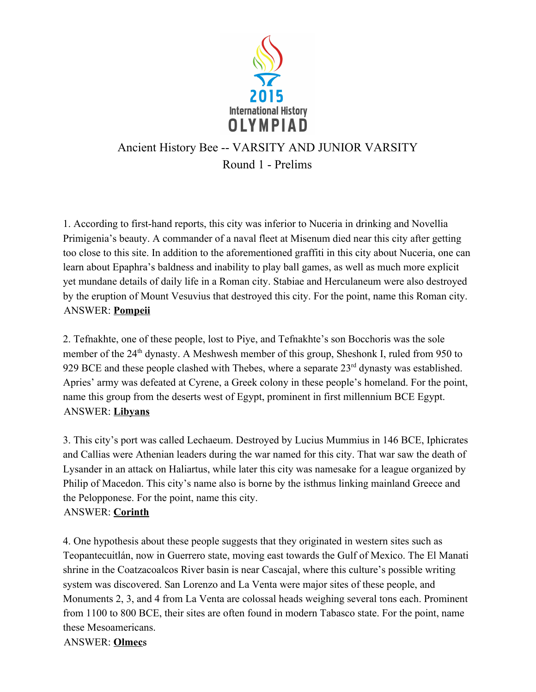

# Ancient History Bee -- VARSITY AND JUNIOR VARSITY Round 1 - Prelims

1. According to first-hand reports, this city was inferior to Nuceria in drinking and Novellia Primigenia's beauty. A commander of a naval fleet at Misenum died near this city after getting too close to this site. In addition to the aforementioned graffiti in this city about Nuceria, one can learn about Epaphra's baldness and inability to play ball games, as well as much more explicit yet mundane details of daily life in a Roman city. Stabiae and Herculaneum were also destroyed by the eruption of Mount Vesuvius that destroyed this city. For the point, name this Roman city. ANSWER: **Pompeii**

2. Tefnakhte, one of these people, lost to Piye, and Tefnakhte's son Bocchoris was the sole member of the 24<sup>th</sup> dynasty. A Meshwesh member of this group, Sheshonk I, ruled from 950 to 929 BCE and these people clashed with Thebes, where a separate  $23<sup>rd</sup>$  dynasty was established. Apries' army was defeated at Cyrene, a Greek colony in these people's homeland. For the point, name this group from the deserts west of Egypt, prominent in first millennium BCE Egypt. ANSWER: **Libyans**

3. This city's port was called Lechaeum. Destroyed by Lucius Mummius in 146 BCE, Iphicrates and Callias were Athenian leaders during the war named for this city. That war saw the death of Lysander in an attack on Haliartus, while later this city was namesake for a league organized by Philip of Macedon. This city's name also is borne by the isthmus linking mainland Greece and the Pelopponese. For the point, name this city.

#### ANSWER: **Corinth**

4. One hypothesis about these people suggests that they originated in western sites such as Teopantecuitlán, now in Guerrero state, moving east towards the Gulf of Mexico. The El Manati shrine in the Coatzacoalcos River basin is near Cascajal, where this culture's possible writing system was discovered. San Lorenzo and La Venta were major sites of these people, and Monuments 2, 3, and 4 from La Venta are colossal heads weighing several tons each. Prominent from 1100 to 800 BCE, their sites are often found in modern Tabasco state. For the point, name these Mesoamericans.

ANSWER: **Olmec**s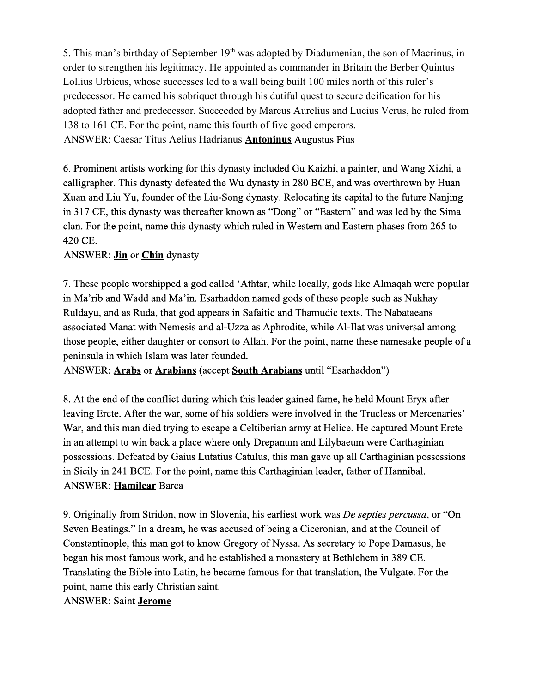5. This man's birthday of September 19<sup>th</sup> was adopted by Diadumenian, the son of Macrinus, in order to strengthen his legitimacy. He appointed as commander in Britain the Berber Quintus Lollius Urbicus, whose successes led to a wall being built 100 miles north of this ruler's predecessor. He earned his sobriquet through his dutiful quest to secure deification for his adopted father and predecessor. Succeeded by Marcus Aurelius and Lucius Verus, he ruled from 138 to 161 CE. For the point, name this fourth of five good emperors. ANSWER: Caesar Titus Aelius Hadrianus **Antoninus**Augustus Pius

6. Prominent artists working for this dynasty included Gu Kaizhi, a painter, and Wang Xizhi, a calligrapher. This dynasty defeated the Wu dynasty in 280 BCE, and was overthrown by Huan Xuan and Liu Yu, founder of the Liu-Song dynasty. Relocating its capital to the future Nanjing in 317 CE, this dynasty was thereafter known as "Dong" or "Eastern" and was led by the Sima clan. For the point, name this dynasty which ruled in Western and Eastern phases from 265 to 420 CE.

#### ANSWER: **Jin** or **Chin** dynasty

7. These people worshipped a god called 'Athtar, while locally, gods like Almaqah were popular in Ma'rib and Wadd and Ma'in. Esarhaddon named gods of these people such as Nukhay Ruldayu, and as Ruda, that god appears in Safaitic and Thamudic texts. The Nabataeans associated Manat with Nemesis and al-Uzza as Aphrodite, while Al-Ilat was universal among those people, either daughter or consort to Allah. For the point, name these namesake people of a peninsula in which Islam was later founded.

ANSWER: **Arabs**or **Arabians**(accept **South Arabians**until "Esarhaddon")

8. At the end of the conflict during which this leader gained fame, he held Mount Eryx after leaving Ercte. After the war, some of his soldiers were involved in the Trucless or Mercenaries' War, and this man died trying to escape a Celtiberian army at Helice. He captured Mount Ercte in an attempt to win back a place where only Drepanum and Lilybaeum were Carthaginian possessions. Defeated by Gaius Lutatius Catulus, this man gave up all Carthaginian possessions in Sicily in 241 BCE. For the point, name this Carthaginian leader, father of Hannibal. ANSWER: **Hamilcar**Barca

9. Originally from Stridon, now in Slovenia, his earliest work was *De septies percussa*, or "On Seven Beatings." In a dream, he was accused of being a Ciceronian, and at the Council of Constantinople, this man got to know Gregory of Nyssa. As secretary to Pope Damasus, he began his most famous work, and he established a monastery at Bethlehem in 389 CE. Translating the Bible into Latin, he became famous for that translation, the Vulgate. For the point, name this early Christian saint.

ANSWER: Saint **Jerome**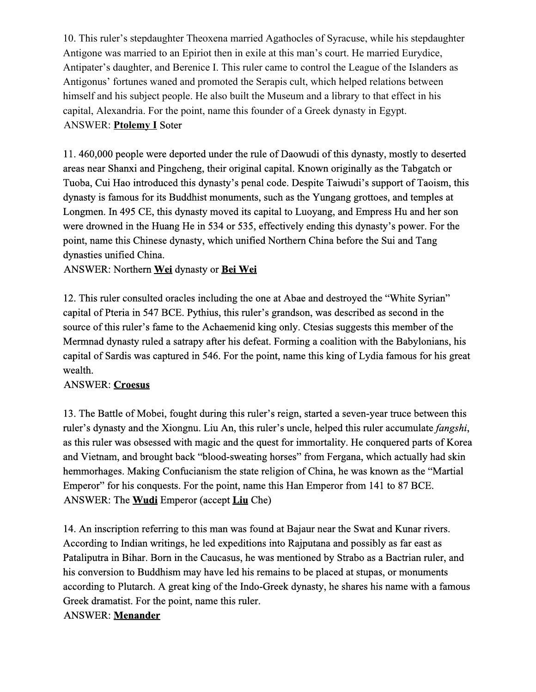10. This ruler's stepdaughter Theoxena married Agathocles of Syracuse, while his stepdaughter Antigone was married to an Epiriot then in exile at this man's court. He married Eurydice, Antipater's daughter, and Berenice I. This ruler came to control the League of the Islanders as Antigonus' fortunes waned and promoted the Serapis cult, which helped relations between himself and his subject people. He also built the Museum and a library to that effect in his capital, Alexandria. For the point, name this founder of a Greek dynasty in Egypt. **ANSWER: Ptolemy I Soter** 

11. 460,000 people were deported under the rule of Daowudi of this dynasty, mostly to deserted areas near Shanxi and Pingcheng, their original capital. Known originally as the Tabgatch or Tuoba, Cui Hao introduced this dynasty's penal code. Despite Taiwudi's support of Taoism, this dynasty is famous for its Buddhist monuments, such as the Yungang grottoes, and temples at Longmen. In 495 CE, this dynasty moved its capital to Luoyang, and Empress Hu and her son were drowned in the Huang He in 534 or 535, effectively ending this dynasty's power. For the point, name this Chinese dynasty, which unified Northern China before the Sui and Tang dynasties unified China.

ANSWER: Northern **Wei**dynasty or **Bei Wei**

12. This ruler consulted oracles including the one at Abae and destroyed the "White Syrian" capital of Pteria in 547 BCE. Pythius, this ruler's grandson, was described as second in the source of this ruler's fame to the Achaemenid king only. Ctesias suggests this member of the Mermnad dynasty ruled a satrapy after his defeat. Forming a coalition with the Babylonians, his capital of Sardis was captured in 546. For the point, name this king of Lydia famous for his great wealth.

#### ANSWER: **Croesus**

13. The Battle of Mobei, fought during this ruler's reign, started a sevenyear truce between this ruler's dynasty and the Xiongnu. Liu An, this ruler's uncle, helped this ruler accumulate *fangshi*, as this ruler was obsessed with magic and the quest for immortality. He conquered parts of Korea and Vietnam, and brought back "blood-sweating horses" from Fergana, which actually had skin hemmorhages. Making Confucianism the state religion of China, he was known as the "Martial Emperor" for his conquests. For the point, name this Han Emperor from 141 to 87 BCE. ANSWER: The **Wudi**Emperor (accept **Liu**Che)

14. An inscription referring to this man was found at Bajaur near the Swat and Kunar rivers. According to Indian writings, he led expeditions into Rajputana and possibly as far east as Pataliputra in Bihar. Born in the Caucasus, he was mentioned by Strabo as a Bactrian ruler, and his conversion to Buddhism may have led his remains to be placed at stupas, or monuments according to Plutarch. A great king of the Indo-Greek dynasty, he shares his name with a famous Greek dramatist. For the point, name this ruler. ANSWER: **Menander**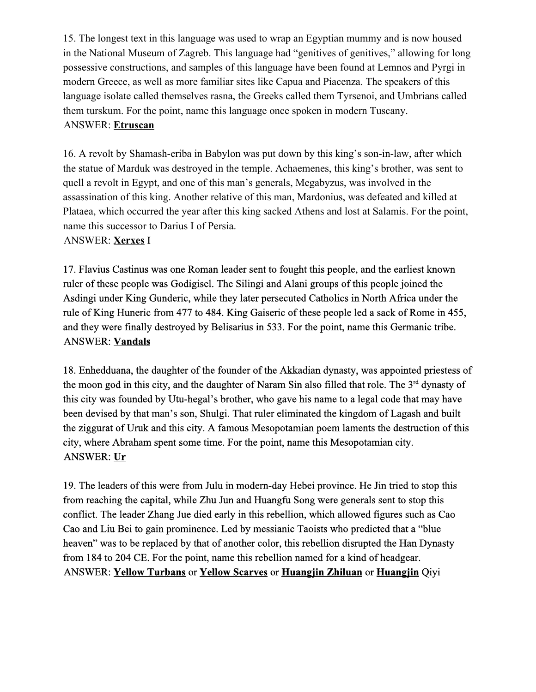15. The longest text in this language was used to wrap an Egyptian mummy and is now housed in the National Museum of Zagreb. This language had "genitives of genitives," allowing for long possessive constructions, and samples of this language have been found at Lemnos and Pyrgi in modern Greece, as well as more familiar sites like Capua and Piacenza. The speakers of this language isolate called themselves rasna, the Greeks called them Tyrsenoi, and Umbrians called them turskum. For the point, name this language once spoken in modern Tuscany. ANSWER: **Etruscan**

16. A revolt by Shamash-eriba in Babylon was put down by this king's son-in-law, after which the statue of Marduk was destroyed in the temple. Achaemenes, this king's brother, was sent to quell a revolt in Egypt, and one of this man's generals, Megabyzus, was involved in the assassination of this king. Another relative of this man, Mardonius, was defeated and killed at Plataea, which occurred the year after this king sacked Athens and lost at Salamis. For the point, name this successor to Darius I of Persia.

ANSWER: **Xerxes**I

17. Flavius Castinus was one Roman leader sent to fought this people, and the earliest known ruler of these people was Godigisel. The Silingi and Alani groups of this people joined the Asdingi under King Gunderic, while they later persecuted Catholics in North Africa under the rule of King Huneric from 477 to 484. King Gaiseric of these people led a sack of Rome in 455, and they were finally destroyed by Belisarius in 533. For the point, name this Germanic tribe. ANSWER: **Vandals**

18. Enhedduana, the daughter of the founder of the Akkadian dynasty, was appointed priestess of the moon god in this city, and the daughter of Naram Sin also filled that role. The 3<sup>rd</sup> dynasty of this city was founded by Utu-hegal's brother, who gave his name to a legal code that may have been devised by that man's son, Shulgi. That ruler eliminated the kingdom of Lagash and built the ziggurat of Uruk and this city. A famous Mesopotamian poem laments the destruction of this city, where Abraham spent some time. For the point, name this Mesopotamian city. ANSWER: **Ur**

19. The leaders of this were from Julu in modern-day Hebei province. He Jin tried to stop this from reaching the capital, while Zhu Jun and Huangfu Song were generals sent to stop this conflict. The leader Zhang Jue died early in this rebellion, which allowed figures such as Cao Cao and Liu Bei to gain prominence. Led by messianic Taoists who predicted that a "blue heaven" was to be replaced by that of another color, this rebellion disrupted the Han Dynasty from 184 to 204 CE. For the point, name this rebellion named for a kind of headgear. ANSWER: **Yellow Turbans**or **Yellow Scarves**or **Huangjin Zhiluan**or **Huangjin**Qiyi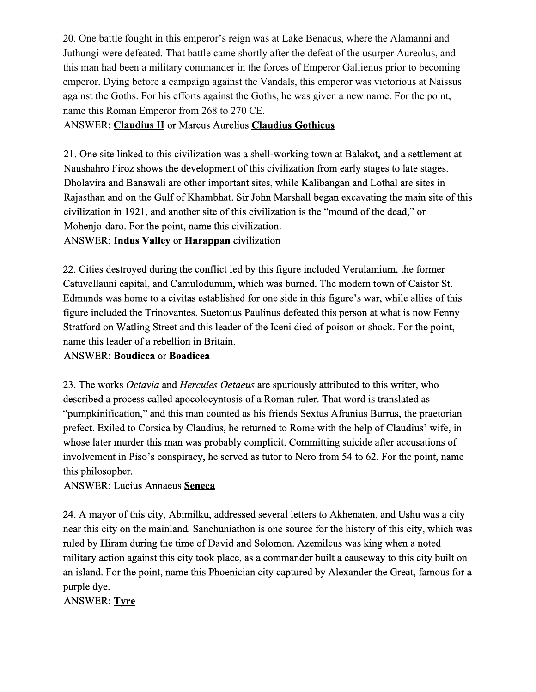20. One battle fought in this emperor's reign was at Lake Benacus, where the Alamanni and Juthungi were defeated. That battle came shortly after the defeat of the usurper Aureolus, and this man had been a military commander in the forces of Emperor Gallienus prior to becoming emperor. Dying before a campaign against the Vandals, this emperor was victorious at Naissus against the Goths. For his efforts against the Goths, he was given a new name. For the point, name this Roman Emperor from 268 to 270 CE.

#### ANSWER: **Claudius II**or Marcus Aurelius **Claudius Gothicus**

21. One site linked to this civilization was a shell-working town at Balakot, and a settlement at Naushahro Firoz shows the development of this civilization from early stages to late stages. Dholavira and Banawali are other important sites, while Kalibangan and Lothal are sites in Rajasthan and on the Gulf of Khambhat. Sir John Marshall began excavating the main site of this civilization in 1921, and another site of this civilization is the "mound of the dead," or Mohenjo-daro. For the point, name this civilization.

ANSWER: **Indus Valley** or **Harappan** civilization

22. Cities destroyed during the conflict led by this figure included Verulamium, the former Catuvellauni capital, and Camulodunum, which was burned. The modern town of Caistor St. Edmunds was home to a civitas established for one side in this figure's war, while allies of this figure included the Trinovantes. Suetonius Paulinus defeated this person at what is now Fenny Stratford on Watling Street and this leader of the Iceni died of poison or shock. For the point, name this leader of a rebellion in Britain.

#### ANSWER: **Boudicca**or **Boadicea**

23. The works *Octavia* and *Hercules Oetaeus* are spuriously attributed to this writer, who described a process called apocolocyntosis of a Roman ruler. That word is translated as "pumpkinification," and this man counted as his friends Sextus Afranius Burrus, the praetorian prefect. Exiled to Corsica by Claudius, he returned to Rome with the help of Claudius' wife, in whose later murder this man was probably complicit. Committing suicide after accusations of involvement in Piso's conspiracy, he served as tutor to Nero from 54 to 62. For the point, name this philosopher.

ANSWER: Lucius Annaeus **Seneca**

24. A mayor of this city, Abimilku, addressed several letters to Akhenaten, and Ushu was a city near this city on the mainland. Sanchuniathon is one source for the history of this city, which was ruled by Hiram during the time of David and Solomon. Azemilcus was king when a noted military action against this city took place, as a commander built a causeway to this city built on an island. For the point, name this Phoenician city captured by Alexander the Great, famous for a purple dye.

ANSWER: **Tyre**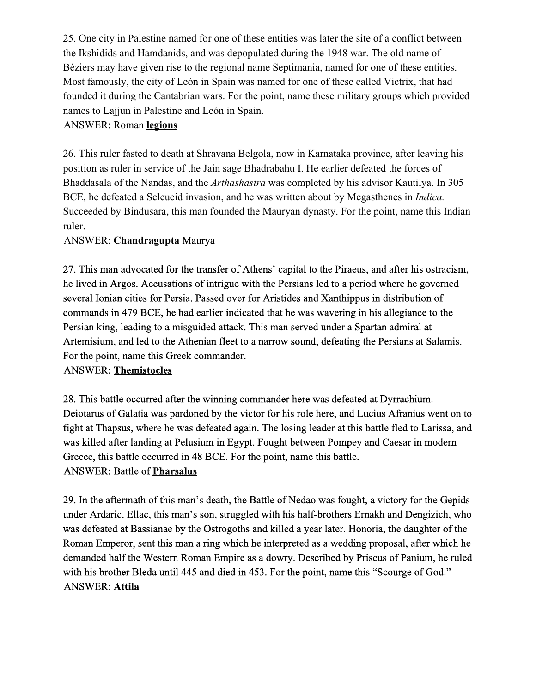25. One city in Palestine named for one of these entities was later the site of a conflict between the Ikshidids and Hamdanids, and was depopulated during the 1948 war. The old name of Béziers may have given rise to the regional name Septimania, named for one of these entities. Most famously, the city of León in Spain was named for one of these called Victrix, that had founded it during the Cantabrian wars. For the point, name these military groups which provided names to Lajjun in Palestine and León in Spain.

### ANSWER: Roman **legions**

26. This ruler fasted to death at Shravana Belgola, now in Karnataka province, after leaving his position as ruler in service of the Jain sage Bhadrabahu I. He earlier defeated the forces of Bhaddasala of the Nandas, and the *Arthashastra* was completed by his advisor Kautilya. In 305 BCE, he defeated a Seleucid invasion, and he was written about by Megasthenes in *Indica.* Succeeded by Bindusara, this man founded the Mauryan dynasty. For the point, name this Indian ruler.

## ANSWER: **Chandragupta**Maurya

27. This man advocated for the transfer of Athens' capital to the Piraeus, and after his ostracism, he lived in Argos. Accusations of intrigue with the Persians led to a period where he governed several Ionian cities for Persia. Passed over for Aristides and Xanthippus in distribution of commands in 479 BCE, he had earlier indicated that he was wavering in his allegiance to the Persian king, leading to a misguided attack. This man served under a Spartan admiral at Artemisium, and led to the Athenian fleet to a narrow sound, defeating the Persians at Salamis. For the point, name this Greek commander.

#### ANSWER: **Themistocles**

28. This battle occurred after the winning commander here was defeated at Dyrrachium. Deiotarus of Galatia was pardoned by the victor for his role here, and Lucius Afranius went on to fight at Thapsus, where he was defeated again. The losing leader at this battle fled to Larissa, and was killed after landing at Pelusium in Egypt. Fought between Pompey and Caesar in modern Greece, this battle occurred in 48 BCE. For the point, name this battle. ANSWER: Battle of **Pharsalus**

29. In the aftermath of this man's death, the Battle of Nedao was fought, a victory for the Gepids under Ardaric. Ellac, this man's son, struggled with his half-brothers Ernakh and Dengizich, who was defeated at Bassianae by the Ostrogoths and killed a year later. Honoria, the daughter of the Roman Emperor, sent this man a ring which he interpreted as a wedding proposal, after which he demanded half the Western Roman Empire as a dowry. Described by Priscus of Panium, he ruled with his brother Bleda until 445 and died in 453. For the point, name this "Scourge of God." ANSWER: **Attila**